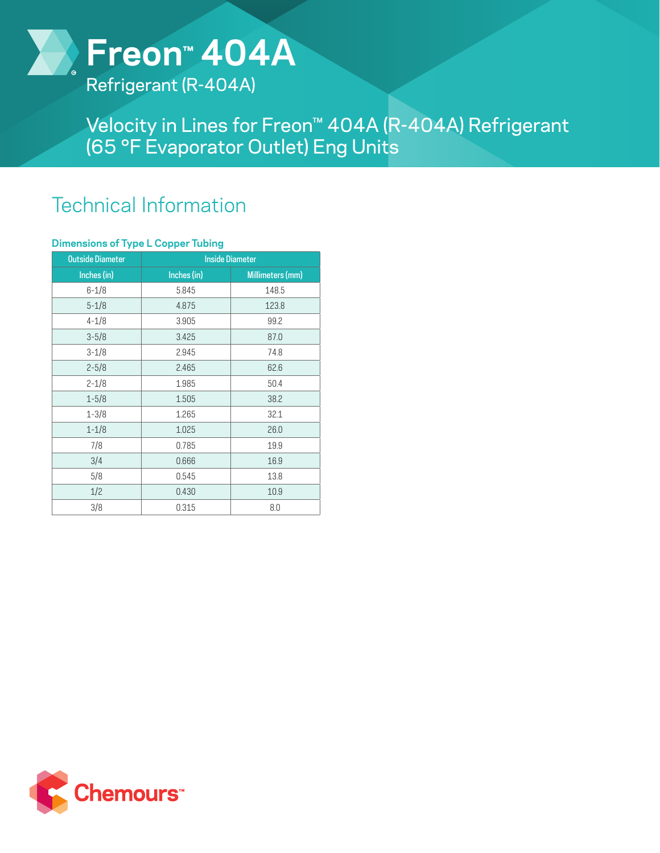

Refrigerant (R-404A)

Velocity in Lines for Freon™ 404A (R-404A) Refrigerant (65 °F Evaporator Outlet) Eng Units

# Technical Information

### **Dimensions of Type L Copper Tubing**

| <b>Outside Diameter</b> | <b>Inside Diameter</b> |                  |
|-------------------------|------------------------|------------------|
| Inches (in)             | Inches (in)            | Millimeters (mm) |
| $6 - 1/8$               | 5.845                  | 148.5            |
| $5 - 1/8$               | 4.875                  | 123.8            |
| $4 - 1/8$               | 3.905                  | 99.2             |
| $3 - 5/8$               | 3.425                  | 87.0             |
| $3 - 1/8$               | 2.945                  | 74.8             |
| $2 - 5/8$               | 2.465                  | 62.6             |
| $2 - 1/8$               | 1.985                  | 50.4             |
| $1 - 5/8$               | 1.505                  | 38.2             |
| $1 - 3/8$               | 1.265                  | 32.1             |
| $1 - 1/8$               | 1.025                  | 26.0             |
| 7/8                     | 0.785                  | 19.9             |
| 3/4                     | 0.666                  | 16.9             |
| 5/8                     | 0.545                  | 13.8             |
| 1/2                     | 0.430                  | 10.9             |
| 3/8                     | 0.315                  | 8.0              |